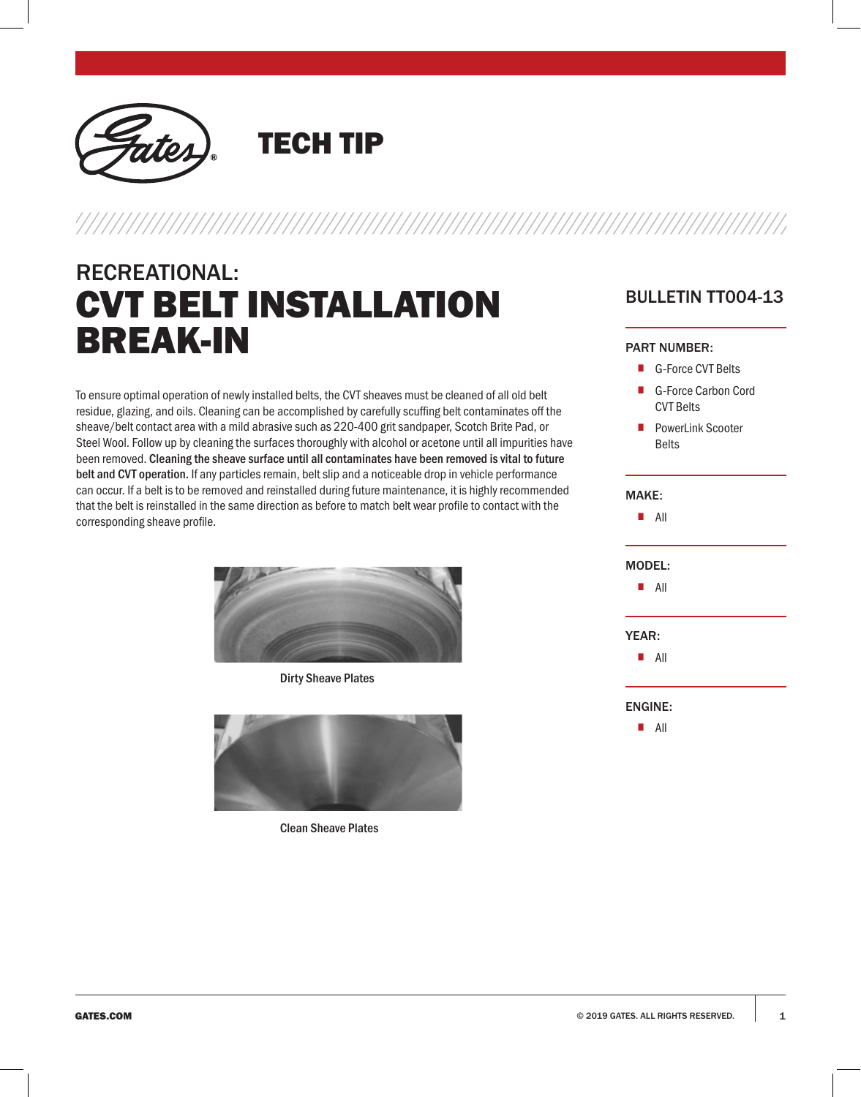

TECH TIP

# RECREATIONAL: CVT BELT INSTALLATION BREAK-IN

To ensure optimal operation of newly installed belts, the CVT sheaves must be cleaned of all old belt residue, glazing, and oils. Cleaning can be accomplished by carefully scuffing belt contaminates off the sheave/belt contact area with a mild abrasive such as 220-400 grit sandpaper, Scotch Brite Pad, or Steel Wool. Follow up by cleaning the surfaces thoroughly with alcohol or acetone until all impurities have been removed. Cleaning the sheave surface until all contaminates have been removed is vital to future belt and CVT operation. If any particles remain, belt slip and a noticeable drop in vehicle performance can occur. If a belt is to be removed and reinstalled during future maintenance, it is highly recommended that the belt is reinstalled in the same direction as before to match belt wear profile to contact with the corresponding sheave profile.



Dirty Sheave Plates



Clean Sheave Plates

## BULLETIN TT004-13

#### PART NUMBER:

- G-Force CVT Belts
- G-Force Carbon Cord CVT Belts
- PowerLink Scooter Belts

## MAKE: